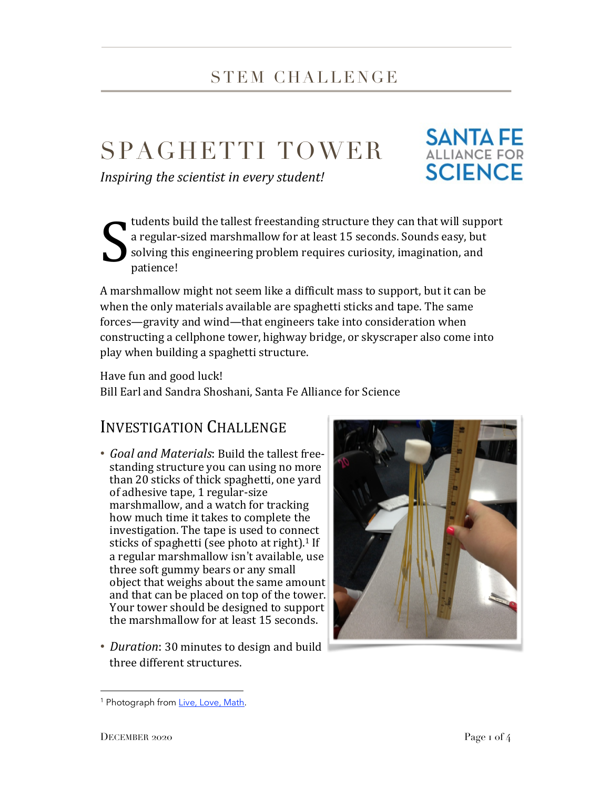## STEM CHALLENGE

# SPAGHETTI TOWER

*Inspiring the scientist in every student!*



tudents build the tallest freestanding structure they can that will support a regular-sized marshmallow for at least 15 seconds. Sounds easy, but solving this engineering problem requires curiosity, imagination, and patience! S

A marshmallow might not seem like a difficult mass to support, but it can be when the only materials available are spaghetti sticks and tape. The same forces—gravity and wind—that engineers take into consideration when constructing a cellphone tower, highway bridge, or skyscraper also come into play when building a spaghetti structure.

Have fun and good luck!

Bill Earl and Sandra Shoshani, Santa Fe Alliance for Science

### INVESTIGATION CHALLENGE

- *Goal and Materials*: Build the tallest freestanding structure you can using no more than 20 sticks of thick spaghetti, one yard of adhesive tape, 1 regular-size marshmallow, and a watch for tracking how much time it takes to complete the investigation. The tape is used to connect sticks of spaghetti (see photo at right).<sup>1</sup> If a regular marshmallow isn't available, use three soft gummy bears or any small object that weighs about the same amount and that can be placed on top of the tower. Your tower should be designed to support the marshmallow for at least 15 seconds.
- *Duration*: 30 minutes to design and build three different structures.



<sup>&</sup>lt;sup>1</sup> Photograph from Live, Love, Math.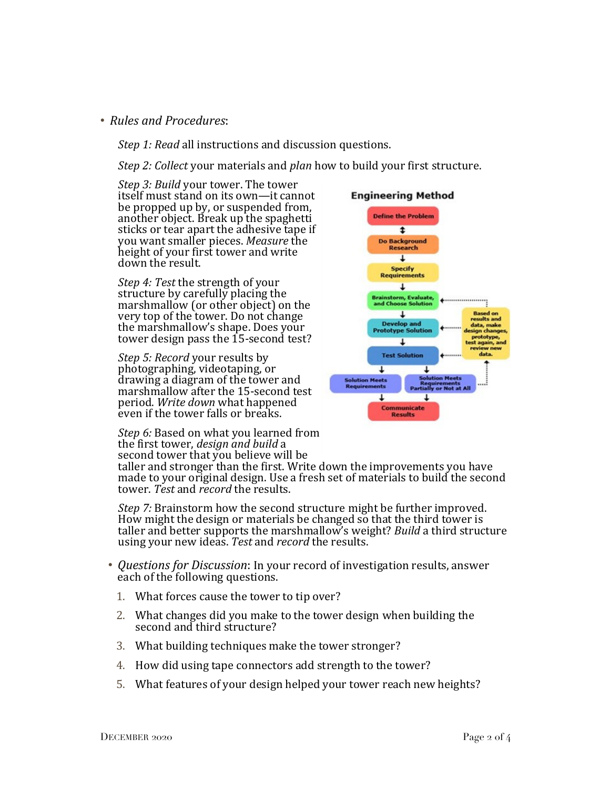#### • *Rules and Procedures*:

*Step 1: Read* all instructions and discussion questions.

*Step 2: Collect* your materials and *plan* how to build your first structure.

*Step 3: Build* your tower. The tower itself must stand on its own—it cannot be propped up by, or suspended from, another object. Break up the spaghetti sticks or tear apart the adhesive tape if you want smaller pieces. *Measure* the height of your first tower and write down the result.

*Step 4: Test* the strength of your structure by carefully placing the marshmallow (or other object) on the very top of the tower. Do not change the marshmallow's shape. Does your tower design pass the 15-second test?

*Step 5: Record* your results by photographing, videotaping, or drawing a diagram of the tower and marshmallow after the 15-second test period. *Write down* what happened even if the tower falls or breaks.

*Step 6:* Based on what you learned from the first tower, *design and build* a second tower that you believe will be

taller and stronger than the first. Write down the improvements you have made to your original design. Use a fresh set of materials to build the second tower. *Test* and *record* the results.

*Step 7:* Brainstorm how the second structure might be further improved. How might the design or materials be changed so that the third tower is taller and better supports the marshmallow's weight? *Build* a third structure using your new ideas. *Test* and *record* the results.

- *Questions for Discussion*: In your record of investigation results, answer each of the following questions.
	- 1. What forces cause the tower to tip over?
	- 2. What changes did you make to the tower design when building the second and third structure?
	- 3. What building techniques make the tower stronger?
	- 4. How did using tape connectors add strength to the tower?
	- 5. What features of your design helped your tower reach new heights?

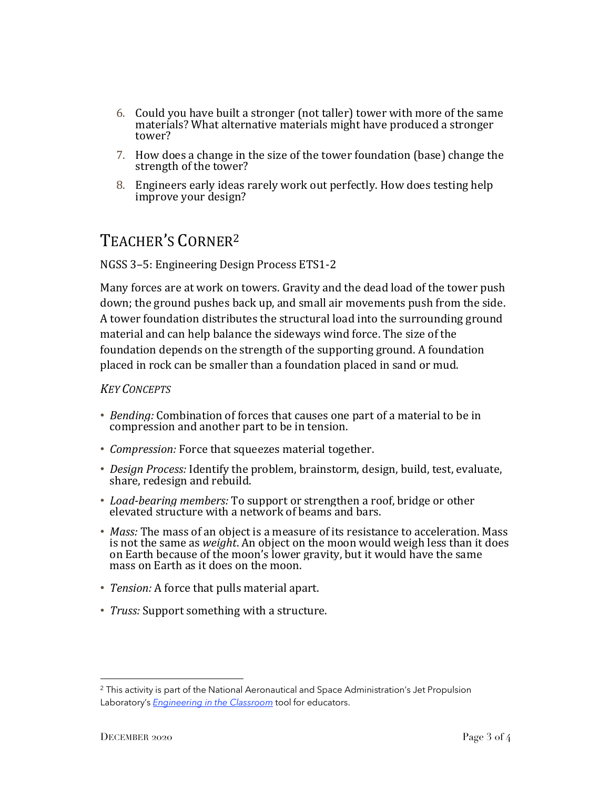- 6. Could you have built a stronger (not taller) tower with more of the same materials? What alternative materials might have produced a stronger tower?
- 7. How does a change in the size of the tower foundation (base) change the strength of the tower?
- 8. Engineers early ideas rarely work out perfectly. How does testing help improve your design?

## TEACHER'S CORNER2

#### NGSS 3–5: Engineering Design Process ETS1-2

Many forces are at work on towers. Gravity and the dead load of the tower push down; the ground pushes back up, and small air movements push from the side. A tower foundation distributes the structural load into the surrounding ground material and can help balance the sideways wind force. The size of the foundation depends on the strength of the supporting ground. A foundation placed in rock can be smaller than a foundation placed in sand or mud.

#### *KEY CONCEPTS*

- *Bending:* Combination of forces that causes one part of a material to be in compression and another part to be in tension.
- *Compression:* Force that squeezes material together.
- *Design Process:* Identify the problem, brainstorm, design, build, test, evaluate, share, redesign and rebuild.
- *Load-bearing members:* To support or strengthen a roof, bridge or other elevated structure with a network of beams and bars.
- *Mass:* The mass of an object is a measure of its resistance to acceleration. Mass is not the same as *weight*. An object on the moon would weigh less than it does on Earth because of the moon's lower gravity, but it would have the same mass on Earth as it does on the moon.
- *Tension:* A force that pulls material apart.
- *Truss:* Support something with a structure.

<sup>&</sup>lt;sup>2</sup> This activity is part of the National Aeronautical and Space Administration's Jet Propulsion Laboratory's *Engineering in the Classroom* tool for educators.